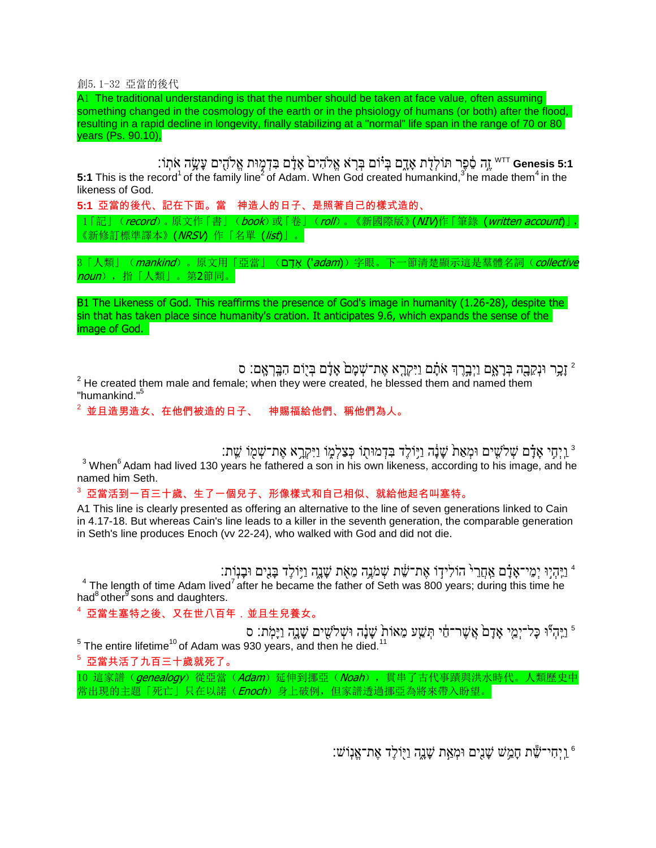創5.1-32 亞當的後代

A1 The traditional understanding is that the number should be taken at face value, often assuming something changed in the cosmology of the earth or in the phsiology of humans (or both) after the flood, resulting in a rapid decline in longevity, finally stabilizing at a "normal" life span in the range of 70 or 80 years (Ps. 90.10),

" Genesis 5:1 הַעֲשֶׂה אֹתְוֹ דִּ $\sim$ וֹ דִּ $\sim$ וֹ, אֹתְוֹ Genesis 5:1 מַּעֲה אֹתְוֹ **5:1** This is the record<sup>1</sup> of the family line<sup>2</sup> of Adam. When God created humankind,<sup>3</sup> he made them<sup>4</sup> in the likeness of God.

**5:1** 亞當的後代、記在下面。當 神造人的日子、是照著自己的樣式造的、 1「記」(record)。原文作「書」(book)或「卷」(roll)。《新國際版》(WIV)作「筆錄 (written account)」, 《新修訂標準譯本》(NRSV) 作「名單 (list)」。

3「人類」(*mankind*)。原文用「亞當」(שֵׁדָם ('*adam*))字眼。下一節清楚顯示這是羣體名詞(*collective* noun),指「人類」。第2節同。

B1 The Likeness of God. This reaffirms the presence of God's image in humanity (1.26-28), despite the sin that has taken place since humanity's cration. It anticipates 9.6, which expands the sense of the image of God.

ֿיָבְר וּנְקֵבָה בְּרָאֱם וַיְבְרֶד אֹתָם וַיִּקְרָא אֶת־שָׁמָם אָדָם בְּיֻוֹם הִבְּרְאֶם: ס  $2$  He created them male and female; when they were created, he blessed them and named them "humankind."<sup>5</sup>

<sup>2</sup> 並且造男造女、在他們被造的日子、 神賜福給他們、稱他們為人。

ּוַיְחִי אָנָם שְׁלֹשֶׁים וּמְאַת שָׁנָה וַיִּוֹלֶד בִּדְמוּתָוֹ כְּצַלְמֶוֹ וַיִּקְרָא אֶת־שָׁמָוֹ שֵׁת:  $^3$ 

<sup>3</sup> When<sup>6</sup> Adam had lived 130 years he fathered a son in his own likeness, according to his image, and he named him Seth.

 $^3$  亞當活到一百三十歲、生了一個兒子、形像樣式和自己相似、就給他起名叫塞特。

A1 This line is clearly presented as offering an alternative to the line of seven generations linked to Cain in 4.17-18. But whereas Cain's line leads to a killer in the seventh generation, the comparable generation in Seth's line produces Enoch (vv 22-24), who walked with God and did not die.

ַּיִּהְיָוּ יְמֵי־אָדָם אָחֲרֵי הוֹלִידָוֹ אֶת־שֵׁׁת שְׁמֹגֶה מֵאָׂת שָׁנֶה וַיָּוֹלֶד בָּנִים וּבָנְוַת "

 $4$  The length of time Adam lived<sup>7</sup> after he became the father of Seth was 800 years; during this time he had $^8$  other  $^8$  sons and daughters.

<sup>4</sup> 亞當生塞特之後、又在世八百年.並且生兒養女。

ן יִיהְיֹּוּ כָּל־יְמֵי אָדָם אֲשֶׁר־חַי תְּשֵׁע מֵאוֹת שָׁבָּה וּשְׁלֹשִים שָׁנֵה וַיָּמְת: ס'<br>ה The entire lifetime<sup>10</sup> of Adam was 930 years, and then he died.<sup>11</sup>

 $^5$ 亞當共活了九百三十歲就死了。

10 這家譜(genealogy)從亞當(Adam)延伸到挪亞(Noah),貫串了古代事蹟與洪水時代。人類歷史中 常出現的主題「死亡」只在以諾(*Enoch*)身上破例,但家譜透過挪亞為將來帶入盼望。

וַיְחִי־שֶׁת חַמֵּשׁ שַׁנֵים וּמְאַת שַׁנֵה וַיִּוֹלֵד אֵת־אֵנִוֹש:<sup>6</sup>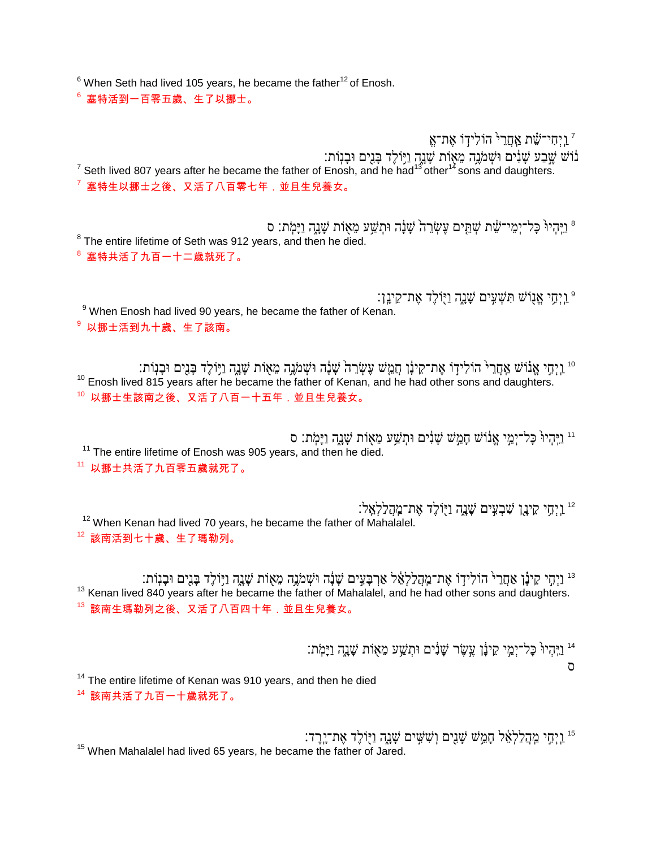$6$  When Seth had lived 105 years, he became the father<sup>12</sup> of Enosh.

<sup>6</sup> 塞特活到一百零五歲、生了以挪士。

וַיִּחִי־שֶׁת אַחֲרֵי הוֹלִידוֹ אֵת־אֱ נוֹשׁ שֶׁבַע שָׁנִים וּשְׁמֹגֶה מֵאוֹת שָׁנָה וַיִּוֹלֶד בְּנִים וּבְנְוֹת:<br><sup>7</sup> Seth lived 807 years after he became the father of Enosh, and he had<sup>13</sup>other<sup>14</sup> sons and daughters.  $^7$  塞特生以挪士之後、又活了八百零七年,並且生兒養女。

ַיֵּהִיוּ כַּל־יִמֶי־שֶׁת שְׁתֵּים עֵשְׂרֵה שַׁנֲה וּתְשֵׁע מֵאָוֹת שַׁנֵה וַיַּמְתּ: ס [  $8$  The entire lifetime of Seth was 912 years, and then he died. <sup>8</sup> 塞特共活了九百一十二歲就死了。

וֶיְחֵי אֱנוֹשׁ תִּשְׁעֵים שֲנֵה וַיִּוֹלֵד אֶת־קֵינֵן: 9 <sup>9</sup> When Enosh had lived 90 years, he became the father of Kenan. <sup>9</sup> 以挪士活到九十歲、生了該南。

וֹ וַיְחֵי אֲנוֹשׁ אֲחֲרֵ<sup>ֶּ</sup> הוֹלִידְוֹ אֵת־קֵינָ֫ן חֲמֵשׁ עֵשָׂרֵה שֶׁנֶה מֵאָוֹת שֶׁנֶה וַיִּוֹלֵד בָּנִיִם וּבָנִוֹתִ <sup>10</sup> Enosh lived 815 years after he became the father of Kenan, and he had other sons and daughters.  $^{10}$ 以挪士生該南之後、又活了八百一十五年,並且生兒養女。

וּו וַיֵּהִיוּ כַּל־יָמֱי אֲנוֹשִׁ חִמֲשׁ שַׁנִים וּתְשֵׁעַ מֵאָוֹת שַׁנַה וַיּמִתְ: ס <sup>11</sup> The entire lifetime of Enosh was 905 years, and then he died. <sup>11</sup> 以挪士共活了九百零五歲就死了。

וַיְתִי קִינָן שִׁבְעִים שָׁנֵה וַיָּוֹלֶד אֶת־מְהַלַלְאֵל:<sup>12</sup> <sup>12</sup> When Kenan had lived 70 years, he became the father of Mahalalel. <sup>12</sup> 該南活到七十歲、生了瑪勒列。

וַיְחָי קִינָן אַחֲרֵי הוֹלִידָוֹ אֶת־מְהָלַלְאֵ֫ל אַךְבָּעִים שָׁנָה וּשְׁמֹנֶה מֵאָוֹת שָׁנֶה וַיִּוֹלֶד בָּנִים וּבָנְוֹתִ <sup>13</sup> Kenan lived 840 years after he became the father of Mahalalel, and he had other sons and daughters. 13 該南生瑪勒列之後、又活了八百四十年,並且生兒養女。

וֵיהְיוּ כָּל־יְמֵי קִינָׂן עֱשֶׂר שָׁנִים וּתְשַׁע מֵאָוֹת שַׁנֵהְ וַיַּמִׂתָ

ס

<sup>14</sup> The entire lifetime of Kenan was 910 years, and then he died <sup>14</sup> 該南共活了九百一十歲就死了。

וַיִּ מַהַלַלְאֵ֫ל הָמֵֽשׁ שָׁנֵיִם וְשִׁשְֵׁים שָׁנֵהְ נַיְוֹלֶד אֶת־יֶרֶד: "  $15$  When Mahalalel had lived 65 years, he became the father of Jared.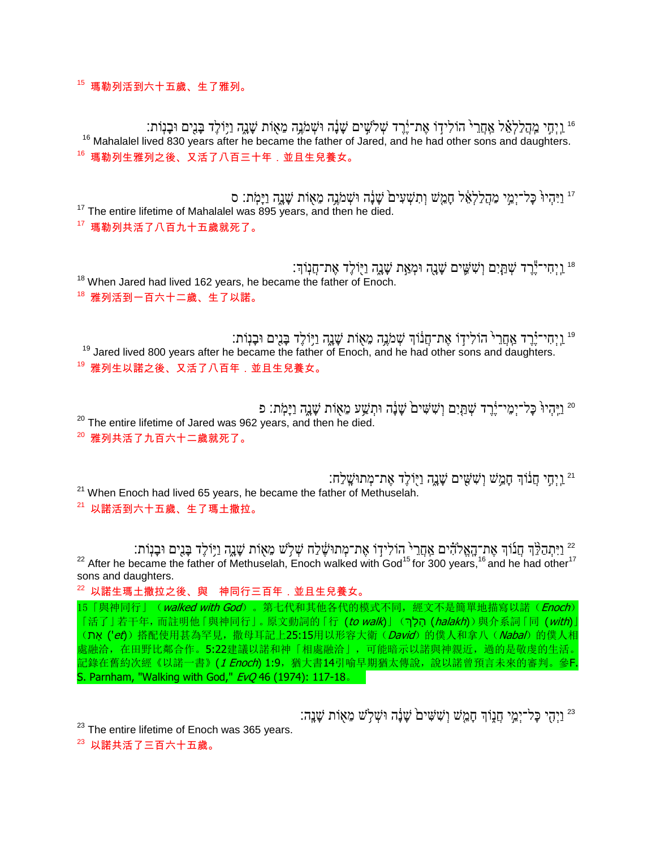$15$  瑪勒列活到六十五歲、生了雅列。

וַיְחִי מְהַלַלְאֵ֫ל אַחֲרֵי הוֹלִידָוֹ אֶת־יֶ֫רֶד שְׁלֹשִִים שָׁנָּה וּשְׁמֹגֶה מֵאָוֹת שָׁנֶה וַיִּוֹלֶד בָּנִים וּבָנִוֹתִ " <sup>16</sup> Mahalalel lived 830 years after he became the father of Jared, and he had other sons and daughters. <sup>16</sup> 瑪勒列生雅列之後、又活了八百三十年.並且生兒養女。

ַיִּהְיוּ כַּל־יָמֵי מַהֲלַלְאֶל חָמֵשׁ וְתִשְׁעָים שַׁנָּה וּשָׁמֹנֵה מֵאָוֹת שַׁנֵה וַיַּמִתְ׃ סִ <sup>17</sup> The entire lifetime of Mahalalel was 895 years, and then he died.

<sup>17</sup> 瑪勒列共活了八百九十五歲就死了。

וַיְ חִי־י יָר עֲתֵ֣יִם וְשִׁשֵׁים שֵׁנֵה וּמְאַת שָׁנֵה וַיִּוֹלֵד אֶת־חֲנִוֹךְ׃ " <sup>18</sup> When Jared had lived 162 years, he became the father of Enoch. <sup>18</sup> 雅列活到一百六十二歲、生了以諾。

וֹּ וַיְחִי־יָ֫רֶד אֲחֲרֵיּ הוֹלִידְוֹ אֶת־חֲנוֹךְ שְׁמֹנֶה מֵאָוֹת שָׁנֶה וַיִּוֹלֶד בָּנִים וּבָנְוֹתִ <sup>19</sup> Jared lived 800 years after he became the father of Enoch, and he had other sons and daughters. 19 雅列生以諾之後、又活了八百年. 並且生兒養女。

ַיְּהִיוּ כַל־יִמְי־יֹרֵד שָׁתֲיָם וְשָׁשִׁים שַׁנָה וּתְשֵׁע מֵאָוֹת שַׁנֵה וַיַּמִתְ: פ <sup>20</sup> The entire lifetime of Jared was 962 years, and then he died.

<sup>20</sup> 雅列共活了九百六十二歲就死了。

וַיְחִי חֲנוֹךְ חָמֵשׁ וְשָׁשִׁים שָׁנֵה וַיְוֹלֶד אֶת־מְתוּשֶׁלַח:  $21$  When Enoch had lived 65 years, he became the father of Methuselah.

<sup>21</sup> 以諾活到六十五歲、生了瑪土撒拉。

ּיַּתְהַלֵּ֖דְ חֲנוֹדְ אֶת־הָאֱלֹהִ֫ים אֲחֲרֵי הוֹלִידְוֹ אֶת־מְתוּשֶׁלַח שְׁלָשׁ מֵאָוֹת שָׁנֶה וַיָּוֹלֶד בָּנִים וּבָנְוֹת: <sup>22</sup> After he became the father of Methuselah, Enoch walked with God<sup>15</sup> for 300 years,<sup>16</sup> and he had other<sup>17</sup> sons and daughters.

<sup>22</sup> 以諾生瑪土撒拉之後、與 神同行三百年.並且生兒養女。

15「與神同行」(walked with God)。第七代和其他各代的模式不同, 經文不是簡單地描寫以諾(Enoch) 「活了」若干年,而註明他「與神同行」。原文動詞的「行 (to walk)」(קלך, chalakh))與介系詞「同 (with)」 (ת) ref) 搭配使用甚為罕見, 撒母耳記上25:15用以形容大衛(David)的僕人和拿八(Nabal)的僕人相 處融洽,在田野比鄰合作。5:22建議以諾和神「相處融洽」,可能暗示以諾與神親近,過的是敬虔的生活。 記錄在舊約次經《以諾一書》(1 Enoch) 1:9, 猶大書14引喻早期猶太傳說,說以諾曾預言未來的審判。參F. S. Parnham, "Walking with God," *EvQ* 46 (1974): 117-18.

וַיִּהְי כַּל־יָמֵי חֲנָוֹךְ חָמֵשׁ וְשָׁשִׁים שָׁנָה וּשָׁלְשׁ מֵאָוֹת שָׁנֵה: <sup>23</sup>

 $23$  The entire lifetime of Enoch was 365 years.

 $23$ 以諾共活了三百六十五歳。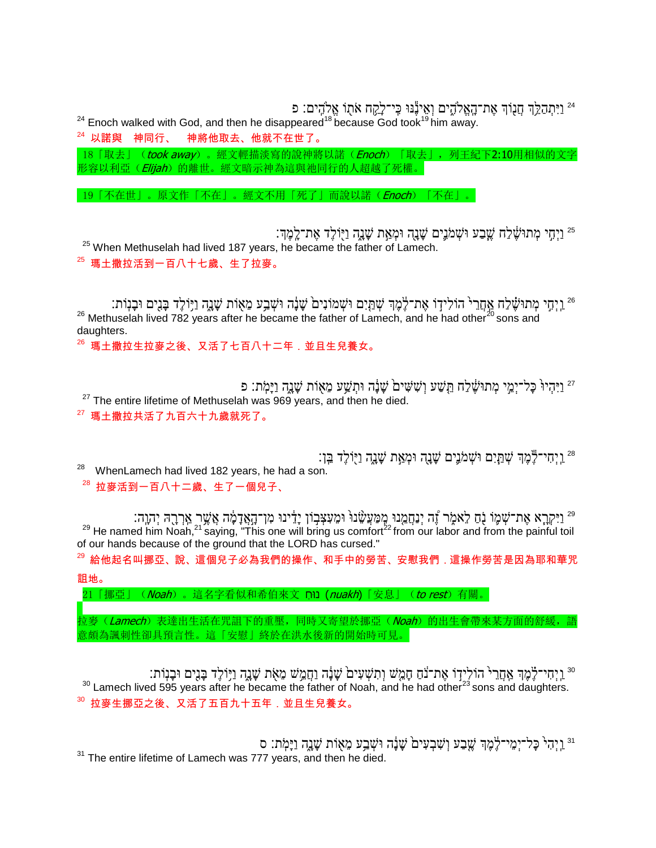וַיִּתְהַלֵּ֣ךְ חֲנָוֹךְ אֶת־הָאֱלֹהֶים וְאֵינֶّנּוּ כִּי־לָקֵח אֹתֻוֹ אֱלֹהִים: פ

 $^{24}$  Enoch walked with God, and then he disappeared<sup>18</sup> because God took<sup>19</sup> him away.

 $24$  以諾與 神同行、 神將他取去、他就不在世了。

18「取去」(took away)。經文輕描淡寫的說神將以諾(Enoch)「取去」,列王紀下2:10用相似的文字 形容以利亞(Elijah)的離世。經文暗示神為這與祂同行的人超越了死權。

19「不在世」。原文作「不在」。經文不用「死了」而說以諾(Enoch)「不在」。

וַיְחִי מְתוּשֵׁלַח שֱבַע וּשְׁמֹנֵים שָׁנָה וּמְאַת שָׁנֶה וַיָּוֹלֶד אֶת־לֶמֶךְ: "  $^{25}$  When Methuselah had lived 187 years, he became the father of Lamech. <sup>25</sup> 瑪土撒拉活到一百八十七歲、生了拉麥。

וַיְחָי מְתוּשֶׁלַח אֲחֲרֵי הוֹלִידָוֹ אֶת־לֶמֶֽדְ שְׁתַּיִם וּשְׁמוֹנִים שָׁנָה וּשְׁבַע מֵאָוֹת שָׁנֶה וַיָּוֹלֶד בָּנִים וּבָנְוֹת: <sup>26</sup> Methuselah lived 782 years after he became the father of Lamech, and he had other<sup>20</sup> sons and daughters.

 $^{26}$  瑪土撒拉生拉麥之後、又活了七百八十二年.並且生兒養女。

ַיְּהִיוּ כַּל־יָמֵי מְתוּשֵׁלַחָ תֵּשַׁע וְשָׁשִׁים שַׁנָּה וּתְשֵׁע מֵאָוֹת שַׁנֵה וַיַּמִׂת; פ  $27$  The entire lifetime of Methuselah was 969 years, and then he died.  $^{27}$  瑪土撒拉共活了九百六十九歲就死了。

וַיָּ יִחִי־לֵּמֲךָ שִׁתֲיָם וּשָׁמֹנֵים שָׁנָה וּמְאַת שָׁנֵה וַיִּוֹלֵד בֵּן  $^{28}$  WhenLamech had lived 182 years, he had a son.

<sup>28</sup> 拉麥活到一百八十二歲、生了一個兒子、

וַיִּקְרָא אֶת־שְׁמֶּוֹ נָֹם לֵאמֶׂר זֶנִה יְנַחֲמֵנוּ מְמַעֲשָׂנוּ וּמֵעִצְבְוֹן יָדֵינוּ מִן־הָאֲדָמֶ֫ה אֲשֶׁר אֵרְבֻהּ יְהָוֶה:  $^{29}$  He named him Noah,<sup>21</sup> saying, "This one will bring us comfort<sup>22</sup> from our labor and from the painful toil of our hands because of the ground that the LORD has cursed."

<sup>29</sup> 給他起名叫挪亞、說、這個兒子必為我們的操作、和手中的勞苦、安慰我們.這操作勞苦是因為耶和華咒

詛地。

21「挪亞」(*Noah*)。這名字看似和希伯來文 ַ הוֹח (nuakh)「安息」(to rest) 有關。

。<br>立麥(*Lamech*)表達出生活在咒詛下的重壓,同時又寄望於挪亞(*Noah*)的出生會帶來某方面的舒緩,語 意頗為諷刺性卻具預言性。這「安慰」終於在洪水後新的開始時可見。

וַיְחִי־לֶמֶךְ אָחֲרֵי הוֹלִידוֹ אֶת־נֹחַ חָמֵשׁ וְתִשְׁעִים שָׁנָה וַחֲמֵשׁ מֵאָת שָׁנֶה וַיְּוֹלֶד בָּנִים וּבָנִוֹת.  $30$  Lamech lived 595 years after he became the father of Noah, and he had other<sup>23</sup> sons and daughters.  $^{30}$ 拉麥生挪亞之後、又活了五百九十五年,並且生兒養女。

וַיְהִי כַּל־יִמְי־לֶמֶךְ שֵׁבַע וְשָׁבְעָים שַׁנָּה וּשָׁבַע מֵאָוֹת שַׁנֵה וַיַּמְתּ: ס'  $31$  The entire lifetime of Lamech was 777 years, and then he died.